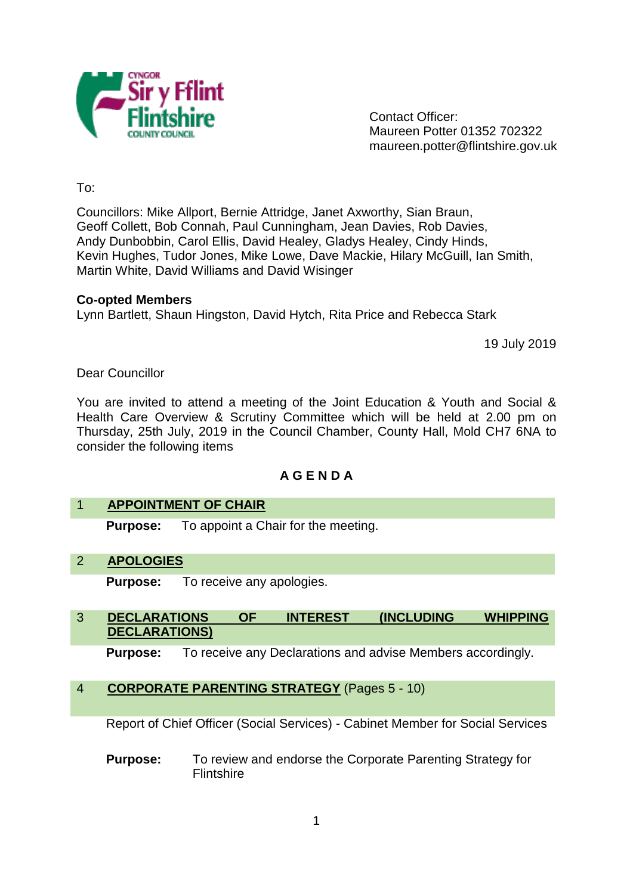

Contact Officer: Maureen Potter 01352 702322 maureen.potter@flintshire.gov.uk

To:

Councillors: Mike Allport, Bernie Attridge, Janet Axworthy, Sian Braun, Geoff Collett, Bob Connah, Paul Cunningham, Jean Davies, Rob Davies, Andy Dunbobbin, Carol Ellis, David Healey, Gladys Healey, Cindy Hinds, Kevin Hughes, Tudor Jones, Mike Lowe, Dave Mackie, Hilary McGuill, Ian Smith, Martin White, David Williams and David Wisinger

### **Co-opted Members**

Lynn Bartlett, Shaun Hingston, David Hytch, Rita Price and Rebecca Stark

19 July 2019

Dear Councillor

You are invited to attend a meeting of the Joint Education & Youth and Social & Health Care Overview & Scrutiny Committee which will be held at 2.00 pm on Thursday, 25th July, 2019 in the Council Chamber, County Hall, Mold CH7 6NA to consider the following items

# **A G E N D A**

### 1 **APPOINTMENT OF CHAIR**

**Purpose:** To appoint a Chair for the meeting.

2 **APOLOGIES**

**Purpose:** To receive any apologies.

# 3 **DECLARATIONS OF INTEREST (INCLUDING WHIPPING DECLARATIONS)**

**Purpose:** To receive any Declarations and advise Members accordingly.

# 4 **CORPORATE PARENTING STRATEGY** (Pages 5 - 10)

Report of Chief Officer (Social Services) - Cabinet Member for Social Services

**Purpose:** To review and endorse the Corporate Parenting Strategy for **Flintshire**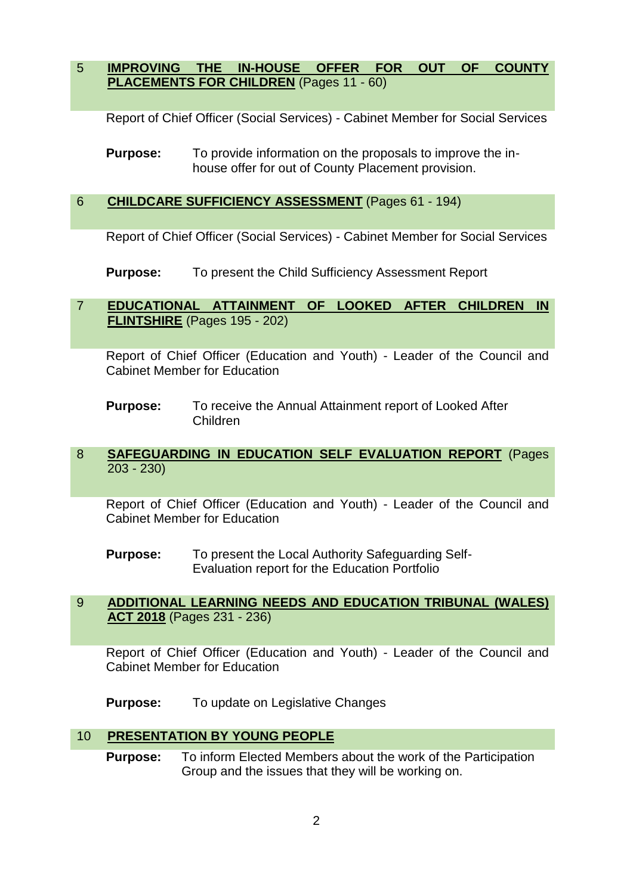5 **IMPROVING THE IN-HOUSE OFFER FOR OUT OF COUNTY PLACEMENTS FOR CHILDREN** (Pages 11 - 60)

Report of Chief Officer (Social Services) - Cabinet Member for Social Services

**Purpose:** To provide information on the proposals to improve the inhouse offer for out of County Placement provision.

# 6 **CHILDCARE SUFFICIENCY ASSESSMENT** (Pages 61 - 194)

Report of Chief Officer (Social Services) - Cabinet Member for Social Services

**Purpose:** To present the Child Sufficiency Assessment Report

# 7 **EDUCATIONAL ATTAINMENT OF LOOKED AFTER CHILDREN IN FLINTSHIRE** (Pages 195 - 202)

Report of Chief Officer (Education and Youth) - Leader of the Council and Cabinet Member for Education

**Purpose:** To receive the Annual Attainment report of Looked After Children

### 8 **SAFEGUARDING IN EDUCATION SELF EVALUATION REPORT** (Pages 203 - 230)

Report of Chief Officer (Education and Youth) - Leader of the Council and Cabinet Member for Education

**Purpose:** To present the Local Authority Safeguarding Self-Evaluation report for the Education Portfolio

# 9 **ADDITIONAL LEARNING NEEDS AND EDUCATION TRIBUNAL (WALES) ACT 2018** (Pages 231 - 236)

Report of Chief Officer (Education and Youth) - Leader of the Council and Cabinet Member for Education

**Purpose:** To update on Legislative Changes

# 10 **PRESENTATION BY YOUNG PEOPLE**

**Purpose:** To inform Elected Members about the work of the Participation Group and the issues that they will be working on.